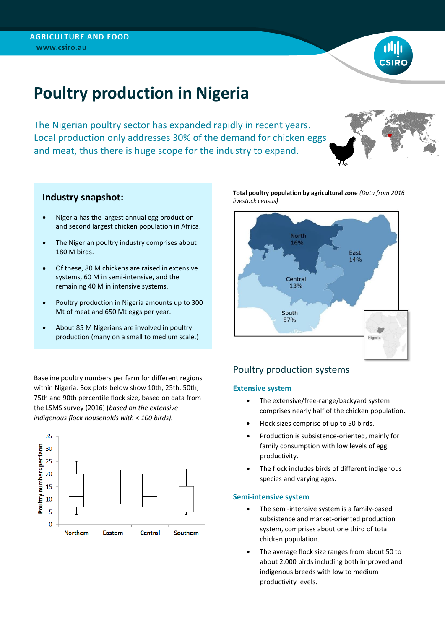

# **Poultry production in Nigeria**

The Nigerian poultry sector has expanded rapidly in recent years. Local production only addresses 30% of the demand for chicken eggs and meat, thus there is huge scope for the industry to expand.



## **Industry snapshot:**

- Nigeria has the largest annual egg production and second largest chicken population in Africa.
- The Nigerian poultry industry comprises about 180 M birds.
- Of these, 80 M chickens are raised in extensive systems, 60 M in semi-intensive, and the remaining 40 M in intensive systems.
- Poultry production in Nigeria amounts up to 300 Mt of meat and 650 Mt eggs per year.
- About 85 M Nigerians are involved in poultry production (many on a small to medium scale.)

Baseline poultry numbers per farm for different regions within Nigeria. Box plots below show 10th, 25th, 50th, 75th and 90th percentile flock size, based on data from the LSMS survey (2016) (*based on the extensive indigenous flock households with < 100 birds).*



**Total poultry population by agricultural zone** *(Data from 2016 livestock census)*



# Poultry production systems

### **Extensive system**

- The extensive/free-range/backyard system comprises nearly half of the chicken population.
- Flock sizes comprise of up to 50 birds.
- Production is subsistence-oriented, mainly for family consumption with low levels of egg productivity.
- The flock includes birds of different indigenous species and varying ages.

#### **Semi-intensive system**

- The semi-intensive system is a family-based subsistence and market-oriented production system, comprises about one third of total chicken population.
- The average flock size ranges from about 50 to about 2,000 birds including both improved and indigenous breeds with low to medium productivity levels.